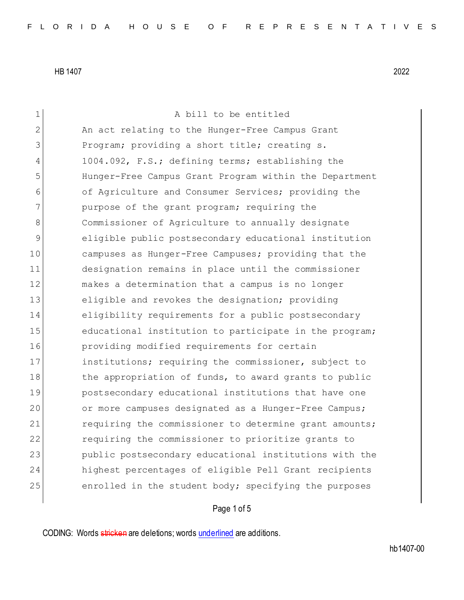1 A bill to be entitled 2 An act relating to the Hunger-Free Campus Grant 3 Program; providing a short title; creating s. 4 1004.092, F.S.; defining terms; establishing the 5 Hunger-Free Campus Grant Program within the Department 6 of Agriculture and Consumer Services; providing the 7 purpose of the grant program; requiring the 8 Commissioner of Agriculture to annually designate 9 eligible public postsecondary educational institution 10 campuses as Hunger-Free Campuses; providing that the 11 designation remains in place until the commissioner 12 makes a determination that a campus is no longer 13 eligible and revokes the designation; providing 14 eligibility requirements for a public postsecondary 15 educational institution to participate in the program; 16 providing modified requirements for certain 17 institutions; requiring the commissioner, subject to 18 the appropriation of funds, to award grants to public 19 postsecondary educational institutions that have one 20 or more campuses designated as a Hunger-Free Campus; 21 requiring the commissioner to determine grant amounts; 22 requiring the commissioner to prioritize grants to 23 public postsecondary educational institutions with the 24 highest percentages of eligible Pell Grant recipients 25 enrolled in the student body; specifying the purposes

### Page 1 of 5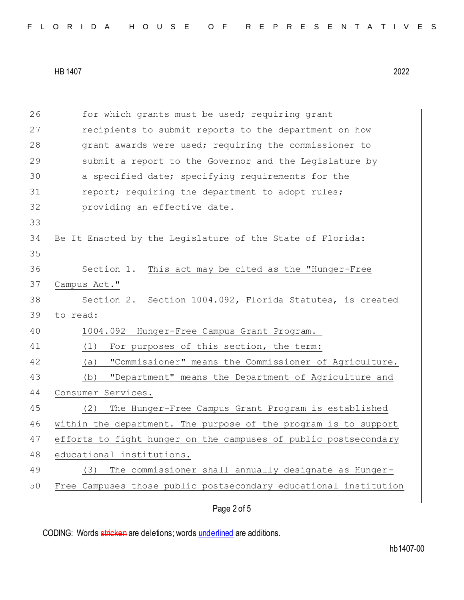|  |  |  |  |  |  |  |  |  |  | FLORIDA HOUSE OF REPRESENTATIVES |  |  |  |  |  |  |  |  |  |  |  |  |  |  |  |
|--|--|--|--|--|--|--|--|--|--|----------------------------------|--|--|--|--|--|--|--|--|--|--|--|--|--|--|--|
|--|--|--|--|--|--|--|--|--|--|----------------------------------|--|--|--|--|--|--|--|--|--|--|--|--|--|--|--|

| 26 | for which grants must be used; requiring grant                   |
|----|------------------------------------------------------------------|
| 27 | recipients to submit reports to the department on how            |
| 28 | grant awards were used; requiring the commissioner to            |
| 29 | submit a report to the Governor and the Legislature by           |
| 30 | a specified date; specifying requirements for the                |
| 31 | report; requiring the department to adopt rules;                 |
| 32 | providing an effective date.                                     |
| 33 |                                                                  |
| 34 | Be It Enacted by the Legislature of the State of Florida:        |
| 35 |                                                                  |
| 36 | Section 1. This act may be cited as the "Hunger-Free             |
| 37 | Campus Act."                                                     |
| 38 | Section 2. Section 1004.092, Florida Statutes, is created        |
| 39 | to read:                                                         |
| 40 | 1004.092 Hunger-Free Campus Grant Program.-                      |
| 41 | For purposes of this section, the term:<br>(1)                   |
| 42 | "Commissioner" means the Commissioner of Agriculture.<br>(a)     |
| 43 | "Department" means the Department of Agriculture and<br>(b)      |
| 44 | Consumer Services.                                               |
| 45 | The Hunger-Free Campus Grant Program is established<br>(2)       |
| 46 | within the department. The purpose of the program is to support  |
| 47 | efforts to fight hunger on the campuses of public postsecondary  |
| 48 | educational institutions.                                        |
| 49 | The commissioner shall annually designate as Hunger-<br>(3)      |
| 50 | Free Campuses those public postsecondary educational institution |
|    |                                                                  |
|    | Page 2 of 5                                                      |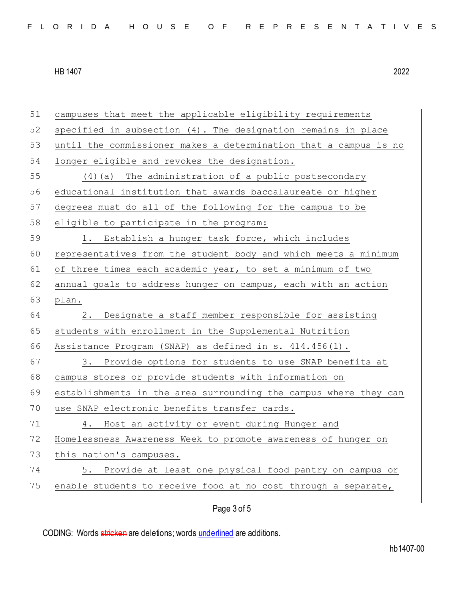| 51 | campuses that meet the applicable eligibility requirements       |
|----|------------------------------------------------------------------|
| 52 | specified in subsection (4). The designation remains in place    |
| 53 | until the commissioner makes a determination that a campus is no |
| 54 | longer eligible and revokes the designation.                     |
| 55 | $(4)$ (a) The administration of a public postsecondary           |
| 56 | educational institution that awards baccalaureate or higher      |
| 57 | degrees must do all of the following for the campus to be        |
| 58 | eligible to participate in the program:                          |
| 59 | 1. Establish a hunger task force, which includes                 |
| 60 | representatives from the student body and which meets a minimum  |
| 61 | of three times each academic year, to set a minimum of two       |
| 62 | annual goals to address hunger on campus, each with an action    |
| 63 | plan.                                                            |
| 64 | Designate a staff member responsible for assisting<br>2.         |
| 65 | students with enrollment in the Supplemental Nutrition           |
| 66 | Assistance Program (SNAP) as defined in s. 414.456(1).           |
| 67 | 3. Provide options for students to use SNAP benefits at          |
| 68 | campus stores or provide students with information on            |
| 69 | establishments in the area surrounding the campus where they can |
| 70 | use SNAP electronic benefits transfer cards.                     |
| 71 | Host an activity or event during Hunger and<br>4.                |
| 72 | Homelessness Awareness Week to promote awareness of hunger on    |
| 73 | this nation's campuses.                                          |
| 74 | 5. Provide at least one physical food pantry on campus or        |
| 75 | enable students to receive food at no cost through a separate,   |
|    |                                                                  |

Page 3 of 5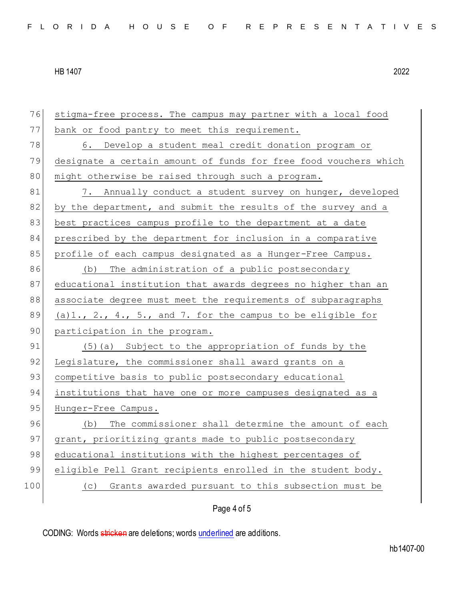76 stigma-free process. The campus may partner with a local food 77 bank or food pantry to meet this requirement. 78 6. Develop a student meal credit donation program or 79 designate a certain amount of funds for free food vouchers which 80 might otherwise be raised through such a program. 81 7. Annually conduct a student survey on hunger, developed 82 by the department, and submit the results of the survey and a 83 best practices campus profile to the department at a date 84 prescribed by the department for inclusion in a comparative 85 profile of each campus designated as a Hunger-Free Campus. 86 (b) The administration of a public postsecondary 87 educational institution that awards degrees no higher than an 88 associate degree must meet the requirements of subparagraphs 89 (a)1., 2., 4., 5., and 7. for the campus to be eligible for 90 participation in the program. 91 (5)(a) Subject to the appropriation of funds by the 92 Legislature, the commissioner shall award grants on a 93 competitive basis to public postsecondary educational 94 institutions that have one or more campuses designated as a 95 Hunger-Free Campus. 96 (b) The commissioner shall determine the amount of each 97 grant, prioritizing grants made to public postsecondary 98 educational institutions with the highest percentages of 99 eligible Pell Grant recipients enrolled in the student body. 100 (c) Grants awarded pursuant to this subsection must be

## Page 4 of 5